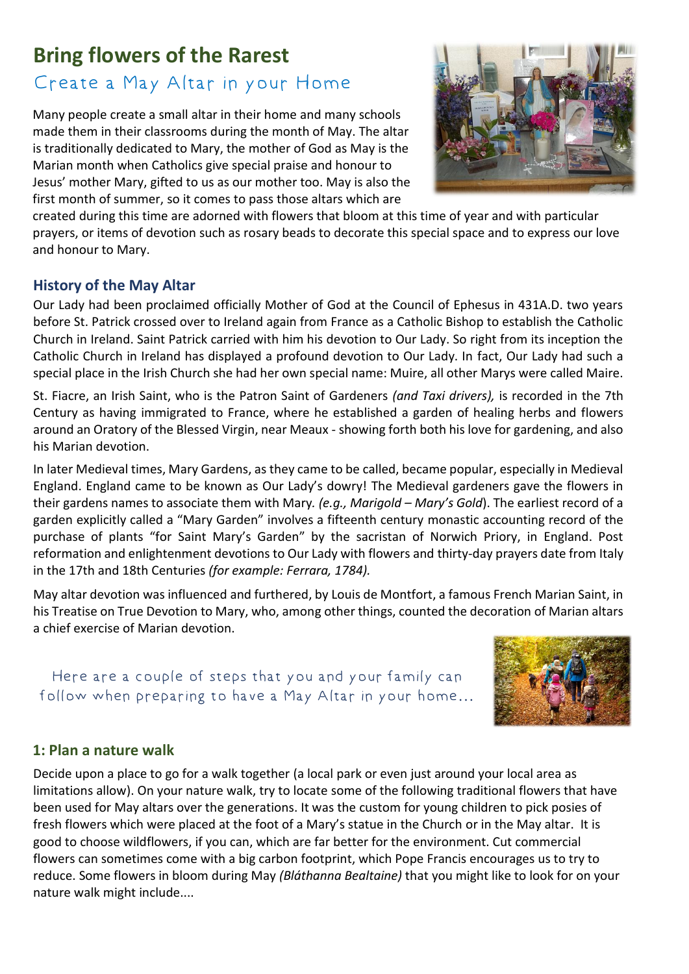# **Bring flowers of the Rarest**

# Create a May Altar in your Home

Many people create a small altar in their home and many schools made them in their classrooms during the month of May. The altar is traditionally dedicated to Mary, the mother of God as May is the Marian month when Catholics give special praise and honour to Jesus' mother Mary, gifted to us as our mother too. May is also the first month of summer, so it comes to pass those altars which are



created during this time are adorned with flowers that bloom at this time of year and with particular prayers, or items of devotion such as rosary beads to decorate this special space and to express our love and honour to Mary.

### **History of the May Altar**

Our Lady had been proclaimed officially Mother of God at the Council of Ephesus in 431A.D. two years before St. Patrick crossed over to Ireland again from France as a Catholic Bishop to establish the Catholic Church in Ireland. Saint Patrick carried with him his devotion to Our Lady. So right from its inception the Catholic Church in Ireland has displayed a profound devotion to Our Lady. In fact, Our Lady had such a special place in the Irish Church she had her own special name: Muire, all other Marys were called Maire.

St. Fiacre, an Irish Saint, who is the Patron Saint of Gardeners *(and Taxi drivers),* is recorded in the 7th Century as having immigrated to France, where he established a garden of healing herbs and flowers around an Oratory of the Blessed Virgin, near Meaux - showing forth both his love for gardening, and also his Marian devotion.

In later Medieval times, Mary Gardens, as they came to be called, became popular, especially in Medieval England. England came to be known as Our Lady's dowry! The Medieval gardeners gave the flowers in their gardens names to associate them with Mary*. (e.g., Marigold – Mary's Gold*). The earliest record of a garden explicitly called a "Mary Garden" involves a fifteenth century monastic accounting record of the purchase of plants "for Saint Mary's Garden" by the sacristan of Norwich Priory, in England. Post reformation and enlightenment devotions to Our Lady with flowers and thirty-day prayers date from Italy in the 17th and 18th Centuries *(for example: Ferrara, 1784).*

May altar devotion was influenced and furthered, by Louis de Montfort, a famous French Marian Saint, in his Treatise on True Devotion to Mary, who, among other things, counted the decoration of Marian altars a chief exercise of Marian devotion.

Here are a couple of steps that you and your family can follow when preparing to have a May Altar in your home…



# **1: Plan a nature walk**

Decide upon a place to go for a walk together (a local park or even just around your local area as limitations allow). On your nature walk, try to locate some of the following traditional flowers that have been used for May altars over the generations. It was the custom for young children to pick posies of fresh flowers which were placed at the foot of a Mary's statue in the Church or in the May altar. It is good to choose wildflowers, if you can, which are far better for the environment. Cut commercial flowers can sometimes come with a big carbon footprint, which Pope Francis encourages us to try to reduce. Some flowers in bloom during May *(Bláthanna Bealtaine)* that you might like to look for on your nature walk might include....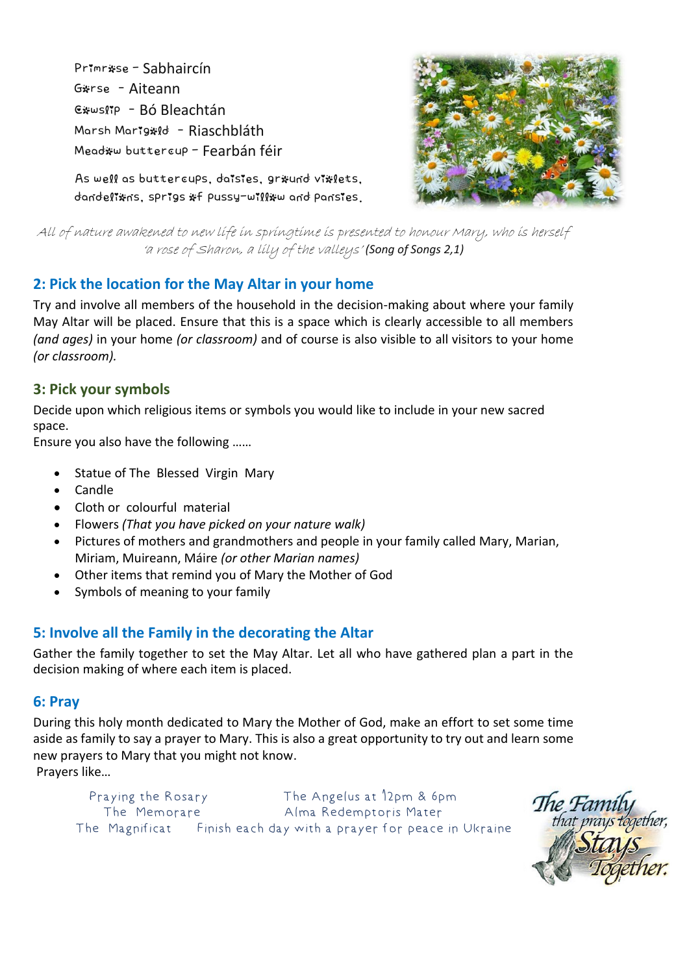Primr\*se - Sabhaircín Gærse - Aiteann  $C*$ wslip – Bó Bleachtán Marsh Marigrid - Riaschbláth Meadxw buttercup - Fearbán féir

As well as buttercups, daisies, graund vialets, dandelixns, sprigs xf pussy-will xw and pansies.

All of nature awakened to new life in springtime is presented to honour Mary, who is herself 'a rose of Sharon, a lily of the valleys' *(Song of Songs 2,1)*

# **2: Pick the location for the May Altar in your home**

Try and involve all members of the household in the decision-making about where your family May Altar will be placed. Ensure that this is a space which is clearly accessible to all members *(and ages)* in your home *(or classroom)* and of course is also visible to all visitors to your home *(or classroom).*

### **3: Pick your symbols**

Decide upon which religious items or symbols you would like to include in your new sacred space.

Ensure you also have the following ……

- Statue of The Blessed Virgin Mary
- Candle
- Cloth or colourful material
- Flowers *(That you have picked on your nature walk)*
- Pictures of mothers and grandmothers and people in your family called Mary, Marian, Miriam, Muireann, Máire *(or other Marian names)*
- Other items that remind you of Mary the Mother of God
- Symbols of meaning to your family

# **5: Involve all the Family in the decorating the Altar**

Gather the family together to set the May Altar. Let all who have gathered plan a part in the decision making of where each item is placed.

#### **6: Pray**

During this holy month dedicated to Mary the Mother of God, make an effort to set some time aside as family to say a prayer to Mary. This is also a great opportunity to try out and learn some new prayers to Mary that you might not know. Prayers like…

Praying the Rosary The Angelus at 12pm & 6pm The Memorare Alma Redemptoris Mater The Magnificat Finish each day with a prayer for peace in Ukraine

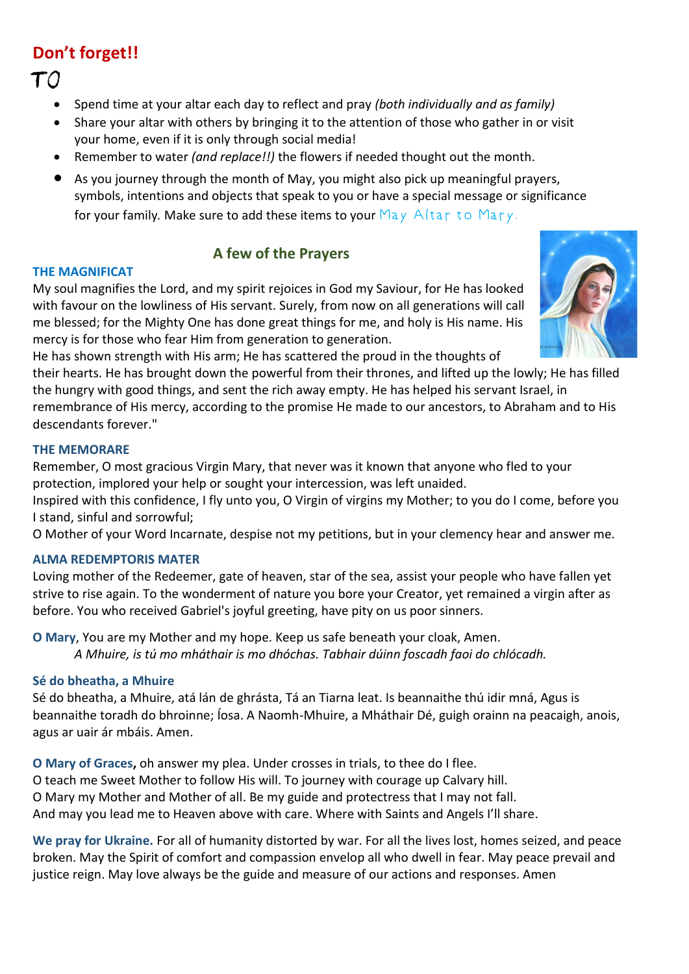# **Don't forget!!**

 $T\mathcal{O}$ 

- Spend time at your altar each day to reflect and pray *(both individually and as family)*
- Share your altar with others by bringing it to the attention of those who gather in or visit your home, even if it is only through social media!
- Remember to water *(and replace!!)* the flowers if needed thought out the month.
- As you journey through the month of May, you might also pick up meaningful prayers, symbols, intentions and objects that speak to you or have a special message or significance for your family*.* Make sure to add these items to your May Altar to Mary.

# **A few of the Prayers**

#### **THE MAGNIFICAT**

My soul magnifies the Lord, and my spirit rejoices in God my Saviour, for He has looked with favour on the lowliness of His servant. Surely, from now on all generations will call me blessed; for the Mighty One has done great things for me, and holy is His name. His mercy is for those who fear Him from generation to generation.



He has shown strength with His arm; He has scattered the proud in the thoughts of

their hearts. He has brought down the powerful from their thrones, and lifted up the lowly; He has filled the hungry with good things, and sent the rich away empty. He has helped his servant Israel, in remembrance of His mercy, according to the promise He made to our ancestors, to Abraham and to His descendants forever."

#### **THE MEMORARE**

Remember, O most gracious Virgin Mary, that never was it known that anyone who fled to your protection, implored your help or sought your intercession, was left unaided.

Inspired with this confidence, I fly unto you, O Virgin of virgins my Mother; to you do I come, before you I stand, sinful and sorrowful;

O Mother of your Word Incarnate, despise not my petitions, but in your clemency hear and answer me.

#### **ALMA REDEMPTORIS MATER**

Loving mother of the Redeemer, gate of heaven, star of the sea, assist your people who have fallen yet strive to rise again. To the wonderment of nature you bore your Creator, yet remained a virgin after as before. You who received Gabriel's joyful greeting, have pity on us poor sinners.

**O Mary**, You are my Mother and my hope. Keep us safe beneath your cloak, Amen. *A Mhuire, is tú mo mháthair is mo dhóchas. Tabhair dúinn foscadh faoi do chlócadh.*

#### **Sé do bheatha, a Mhuire**

Sé do bheatha, a Mhuire, atá lán de ghrásta, Tá an Tiarna leat. Is beannaithe thú idir mná, Agus is beannaithe toradh do bhroinne; Íosa. A Naomh-Mhuire, a Mháthair Dé, guigh orainn na peacaigh, anois, agus ar uair ár mbáis. Amen.

**O Mary of Graces,** oh answer my plea. Under crosses in trials, to thee do I flee. O teach me Sweet Mother to follow His will. To journey with courage up Calvary hill. O Mary my Mother and Mother of all. Be my guide and protectress that I may not fall. And may you lead me to Heaven above with care. Where with Saints and Angels I'll share.

**We pray for Ukraine.** For all of humanity distorted by war. For all the lives lost, homes seized, and peace broken. May the Spirit of comfort and compassion envelop all who dwell in fear. May peace prevail and justice reign. May love always be the guide and measure of our actions and responses. Amen